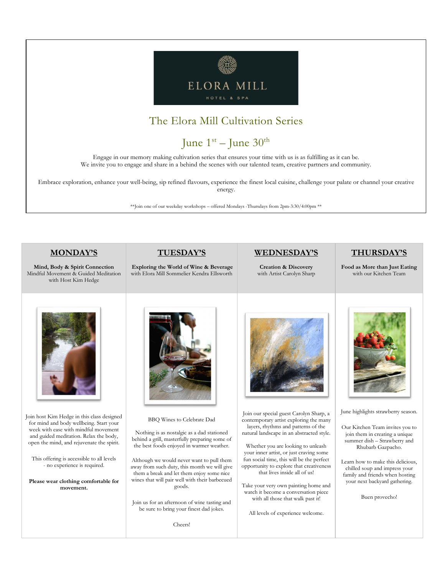

### The Elora Mill Cultivation Series

# June  $1^{\text{st}}$  – June  $30^{\text{th}}$

Engage in our memory making cultivation series that ensures your time with us is as fulfilling as it can be. We invite you to engage and share in a behind the scenes with our talented team, creative partners and community.

Embrace exploration, enhance your well-being, sip refined flavours, experience the finest local cuisine, challenge your palate or channel your creative energy.

\*\*Join one of our weekday workshops – offered Mondays -Thursdays from 2pm-3:30/4:00pm \*\*

#### **MONDAY'S**

**Mind, Body & Spirit Connection**  Mindful Movement & Guided Meditation with Host Kim Hedge



**Exploring the World of Wine & Beverage** with Elora Mill Sommelier Kendra Ellsworth

### **WEDNESDAY'S**

**Creation & Discovery**  with Artist Carolyn Sharp **THURSDAY'S**

**Food as More than Just Eating**  with our Kitchen Team



Join host Kim Hedge in this class designed for mind and body wellbeing. Start your week with ease with mindful movement and guided meditation. Relax the body, open the mind, and rejuvenate the spirit.

This offering is accessible to all levels - no experience is required.

**Please wear clothing comfortable for movement.**



BBQ Wines to Celebrate Dad

Nothing is as nostalgic as a dad stationed behind a grill, masterfully preparing some of the best foods enjoyed in warmer weather.

Although we would never want to pull them away from such duty, this month we will give them a break and let them enjoy some nice wines that will pair well with their barbecued goods.

Join us for an afternoon of wine tasting and be sure to bring your finest dad jokes.

Cheers!



Join our special guest Carolyn Sharp, a contemporary artist exploring the many layers, rhythms and patterns of the natural landscape in an abstracted style.

Whether you are looking to unleash your inner artist, or just craving some fun social time, this will be the perfect opportunity to explore that creativeness that lives inside all of us!

Take your very own painting home and watch it become a conversation piece with all those that walk past it!

All levels of experience welcome.



June highlights strawberry season.

Our Kitchen Team invites you to join them in creating a unique summer dish – Strawberry and Rhubarb Gazpacho.

Learn how to make this delicious, chilled soup and impress your family and friends when hosting your next backyard gathering.

Buen provecho!